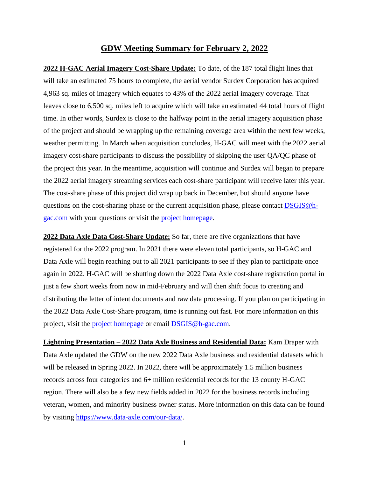## **GDW Meeting Summary for February 2, 2022**

**2022 H-GAC Aerial Imagery Cost-Share Update:** To date, of the 187 total flight lines that will take an estimated 75 hours to complete, the aerial vendor Surdex Corporation has acquired 4,963 sq. miles of imagery which equates to 43% of the 2022 aerial imagery coverage. That leaves close to 6,500 sq. miles left to acquire which will take an estimated 44 total hours of flight time. In other words, Surdex is close to the halfway point in the aerial imagery acquisition phase of the project and should be wrapping up the remaining coverage area within the next few weeks, weather permitting. In March when acquisition concludes, H-GAC will meet with the 2022 aerial imagery cost-share participants to discuss the possibility of skipping the user QA/QC phase of the project this year. In the meantime, acquisition will continue and Surdex will began to prepare the 2022 aerial imagery streaming services each cost-share participant will receive later this year. The cost-share phase of this project did wrap up back in December, but should anyone have questions on the cost-sharing phase or the current acquisition phase, please contact **DSGIS**@h[gac.com](mailto:DSGIS@h-gac.com) with your questions or visit the [project](https://www.h-gac.com/aerial-imagery-cost-share) [homepage.](https://www.h-gac.com/aerial-imagery-cost-share/)

**2022 Data Axle Data Cost-Share Update:** So far, there are five organizations that have registered for the 2022 program. In 2021 there were eleven total participants, so H-GAC and Data Axle will begin reaching out to all 2021 participants to see if they plan to participate once again in 2022. H-GAC will be shutting down the 2022 Data Axle cost-share registration portal in just a few short weeks from now in mid-February and will then shift focus to creating and distributing the letter of intent documents and raw data processing. If you plan on participating in the 2022 Data Axle Cost-Share program, time is running out fast. For more information on this project, visit the [project homepage](mailto:project%20homepage) or email [DSGIS@h-gac.com.](mailto:DSGIS@h-gac.com)

**Lightning Presentation – 2022 Data Axle Business and Residential Data:** Kam Draper with Data Axle updated the GDW on the new 2022 Data Axle business and residential datasets which will be released in Spring 2022. In 2022, there will be approximately 1.5 million business records across four categories and 6+ million residential records for the 13 county H-GAC region. There will also be a few new fields added in 2022 for the business records including veteran, women, and minority business owner status. More information on this data can be found by visiting [https://www.data-axle.com/our-data/.](https://www.data-axle.com/our-data/)

1